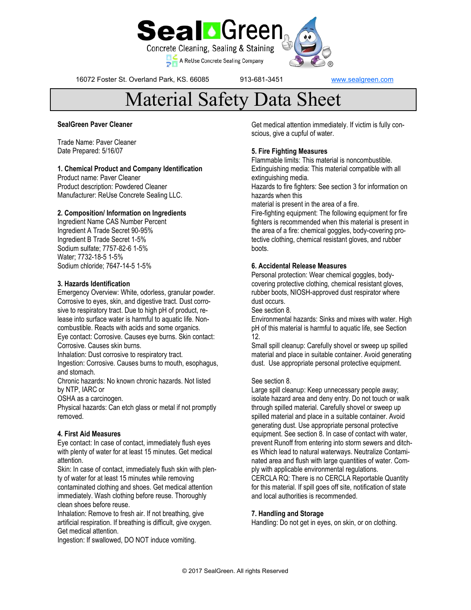

16072 Foster St. Overland Park, KS. 66085 913-681-3451 [www.sealgreen.com](http://www.greenseal.com)

# Material Safety Data Sheet

### **SealGreen Paver Cleaner**

Trade Name: Paver Cleaner Date Prepared: 5/16/07

#### **1. Chemical Product and Company Identification**

Product name: Paver Cleaner Product description: Powdered Cleaner Manufacturer: ReUse Concrete Sealing LLC.

# **2. Composition/ Information on Ingredients**

Ingredient Name CAS Number Percent Ingredient A Trade Secret 90-95% Ingredient B Trade Secret 1-5% Sodium sulfate; 7757-82-6 1-5% Water; 7732-18-5 1-5% Sodium chloride; 7647-14-5 1-5%

# **3. Hazards Identification**

Emergency Overview: White, odorless, granular powder. Corrosive to eyes, skin, and digestive tract. Dust corrosive to respiratory tract. Due to high pH of product, release into surface water is harmful to aquatic life. Noncombustible. Reacts with acids and some organics. Eye contact: Corrosive. Causes eye burns. Skin contact: Corrosive. Causes skin burns. Inhalation: Dust corrosive to respiratory tract.

Ingestion: Corrosive. Causes burns to mouth, esophagus, and stomach.

Chronic hazards: No known chronic hazards. Not listed by NTP, IARC or

OSHA as a carcinogen.

Physical hazards: Can etch glass or metal if not promptly removed.

# **4. First Aid Measures**

Eye contact: In case of contact, immediately flush eyes with plenty of water for at least 15 minutes. Get medical attention.

Skin: In case of contact, immediately flush skin with plenty of water for at least 15 minutes while removing contaminated clothing and shoes. Get medical attention immediately. Wash clothing before reuse. Thoroughly clean shoes before reuse.

Inhalation: Remove to fresh air. If not breathing, give artificial respiration. If breathing is difficult, give oxygen. Get medical attention.

Ingestion: If swallowed, DO NOT induce vomiting.

Get medical attention immediately. If victim is fully conscious, give a cupful of water.

# **5. Fire Fighting Measures**

Flammable limits: This material is noncombustible. Extinguishing media: This material compatible with all extinguishing media.

Hazards to fire fighters: See section 3 for information on hazards when this

material is present in the area of a fire.

Fire-fighting equipment: The following equipment for fire fighters is recommended when this material is present in the area of a fire: chemical goggles, body-covering protective clothing, chemical resistant gloves, and rubber boots.

# **6. Accidental Release Measures**

Personal protection: Wear chemical goggles, bodycovering protective clothing, chemical resistant gloves, rubber boots, NIOSH-approved dust respirator where dust occurs.

See section 8.

Environmental hazards: Sinks and mixes with water. High pH of this material is harmful to aquatic life, see Section 12.

Small spill cleanup: Carefully shovel or sweep up spilled material and place in suitable container. Avoid generating dust. Use appropriate personal protective equipment.

### See section 8.

Large spill cleanup: Keep unnecessary people away; isolate hazard area and deny entry. Do not touch or walk through spilled material. Carefully shovel or sweep up spilled material and place in a suitable container. Avoid generating dust. Use appropriate personal protective equipment. See section 8. In case of contact with water, prevent Runoff from entering into storm sewers and ditches Which lead to natural waterways. Neutralize Contaminated area and flush with large quantities of water. Comply with applicable environmental regulations. CERCLA RQ: There is no CERCLA Reportable Quantity for this material. If spill goes off site, notification of state and local authorities is recommended.

#### **7. Handling and Storage**

Handling: Do not get in eyes, on skin, or on clothing.